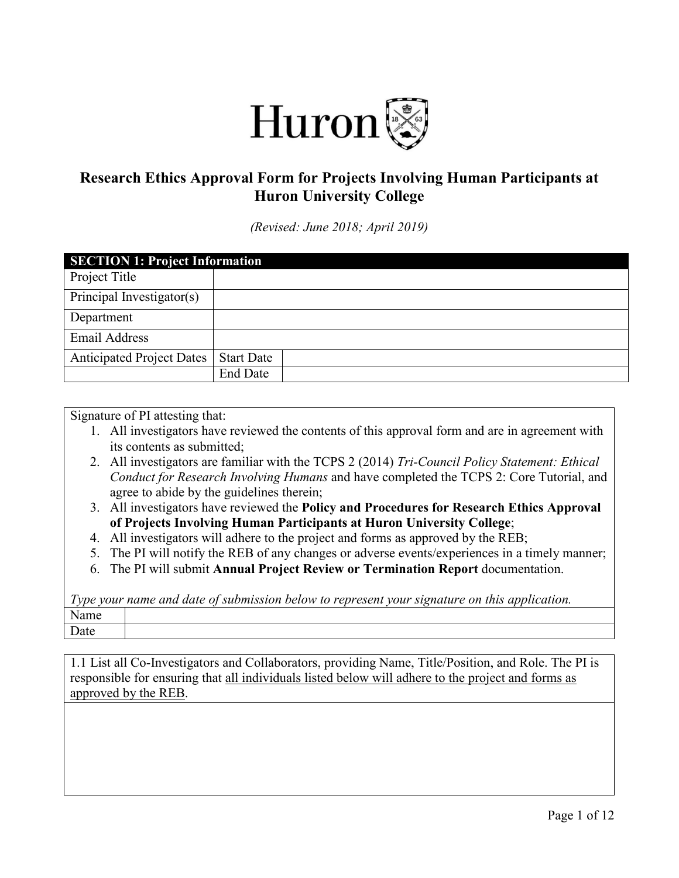

# **Research Ethics Approval Form for Projects Involving Human Participants at Huron University College**

*(Revised: June 2018; April 2019)*

| <b>SECTION 1: Project Information</b> |                   |  |
|---------------------------------------|-------------------|--|
| Project Title                         |                   |  |
| Principal Investigator(s)             |                   |  |
| Department                            |                   |  |
| <b>Email Address</b>                  |                   |  |
| <b>Anticipated Project Dates</b>      | <b>Start Date</b> |  |
|                                       | <b>End Date</b>   |  |

Signature of PI attesting that:

- 1. All investigators have reviewed the contents of this approval form and are in agreement with its contents as submitted;
- 2. All investigators are familiar with the TCPS 2 (2014) *Tri-Council Policy Statement: Ethical Conduct for Research Involving Humans* and have completed the TCPS 2: Core Tutorial, and agree to abide by the guidelines therein;
- 3. All investigators have reviewed the **Policy and Procedures for Research Ethics Approval of Projects Involving Human Participants at Huron University College**;
- 4. All investigators will adhere to the project and forms as approved by the REB;
- 5. The PI will notify the REB of any changes or adverse events/experiences in a timely manner;
- 6. The PI will submit **Annual Project Review or Termination Report** documentation.

| Type your name and date of submission below to represent your signature on this application. |  |  |
|----------------------------------------------------------------------------------------------|--|--|
| Name                                                                                         |  |  |
| Date                                                                                         |  |  |

1.1 List all Co-Investigators and Collaborators, providing Name, Title/Position, and Role. The PI is responsible for ensuring that all individuals listed below will adhere to the project and forms as approved by the REB.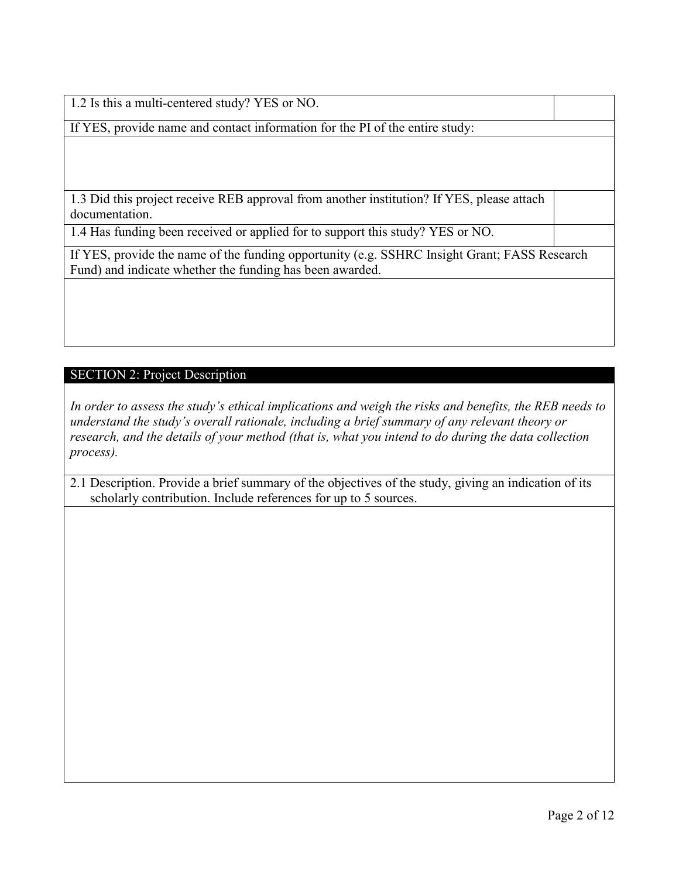| 1.2 Is this a multi-centered study? YES or NO.                                               |  |
|----------------------------------------------------------------------------------------------|--|
| If YES, provide name and contact information for the PI of the entire study:                 |  |
|                                                                                              |  |
|                                                                                              |  |
|                                                                                              |  |
| 1.3 Did this project receive REB approval from another institution? If YES, please attach    |  |
| documentation.                                                                               |  |
| 1.4 Has funding been received or applied for to support this study? YES or NO.               |  |
| If YES, provide the name of the funding opportunity (e.g. SSHRC Insight Grant; FASS Research |  |
| Fund) and indicate whether the funding has been awarded.                                     |  |
|                                                                                              |  |
|                                                                                              |  |
|                                                                                              |  |

## SECTION 2: Project Description

*In order to assess the study's ethical implications and weigh the risks and benefits, the REB needs to understand the study's overall rationale, including a brief summary of any relevant theory or research, and the details of your method (that is, what you intend to do during the data collection process).*

2.1 Description. Provide a brief summary of the objectives of the study, giving an indication of its scholarly contribution. Include references for up to 5 sources.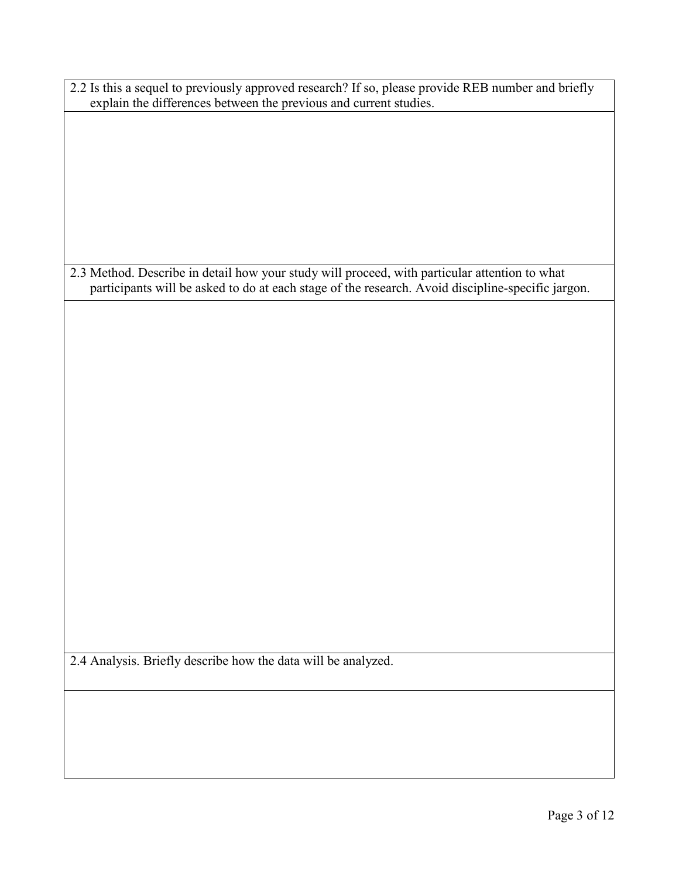| 2.2 Is this a sequel to previously approved research? If so, please provide REB number and briefly |
|----------------------------------------------------------------------------------------------------|
| explain the differences between the previous and current studies.                                  |

2.3 Method. Describe in detail how your study will proceed, with particular attention to what participants will be asked to do at each stage of the research. Avoid discipline-specific jargon.

2.4 Analysis. Briefly describe how the data will be analyzed.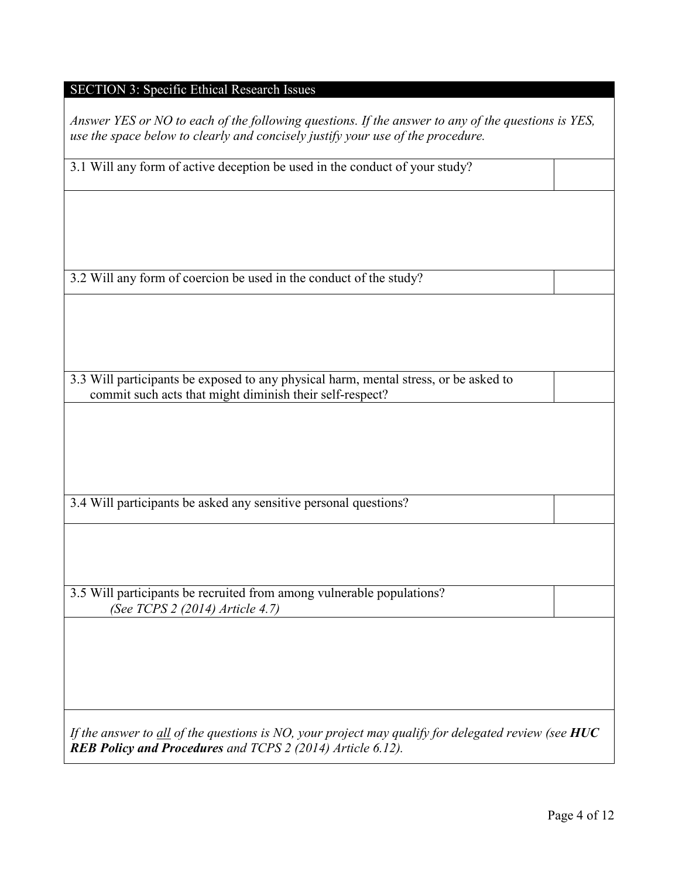#### SECTION 3: Specific Ethical Research Issues

*Answer YES or NO to each of the following questions. If the answer to any of the questions is YES, use the space below to clearly and concisely justify your use of the procedure.*

3.1 Will any form of active deception be used in the conduct of your study?

3.2 Will any form of coercion be used in the conduct of the study?

3.3 Will participants be exposed to any physical harm, mental stress, or be asked to commit such acts that might diminish their self-respect?

3.4 Will participants be asked any sensitive personal questions?

3.5 Will participants be recruited from among vulnerable populations? *(See TCPS 2 (2014) Article 4.7)*

*If the answer to all of the questions is NO, your project may qualify for delegated review (see HUC REB Policy and Procedures and TCPS 2 (2014) Article 6.12).*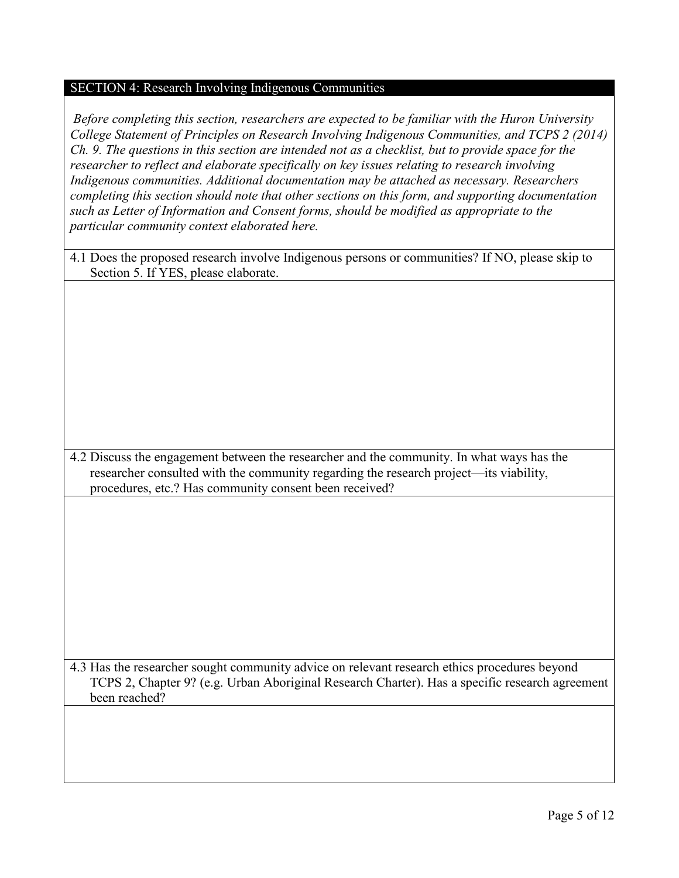#### SECTION 4: Research Involving Indigenous Communities

*Before completing this section, researchers are expected to be familiar with the Huron University College Statement of Principles on Research Involving Indigenous Communities, and TCPS 2 (2014) Ch. 9. The questions in this section are intended not as a checklist, but to provide space for the researcher to reflect and elaborate specifically on key issues relating to research involving Indigenous communities. Additional documentation may be attached as necessary. Researchers completing this section should note that other sections on this form, and supporting documentation such as Letter of Information and Consent forms, should be modified as appropriate to the particular community context elaborated here.* 

|                                      | 4.1 Does the proposed research involve Indigenous persons or communities? If NO, please skip to |
|--------------------------------------|-------------------------------------------------------------------------------------------------|
| Section 5. If YES, please elaborate. |                                                                                                 |

4.2 Discuss the engagement between the researcher and the community. In what ways has the researcher consulted with the community regarding the research project—its viability, procedures, etc.? Has community consent been received?

4.3 Has the researcher sought community advice on relevant research ethics procedures beyond TCPS 2, Chapter 9? (e.g. Urban Aboriginal Research Charter). Has a specific research agreement been reached?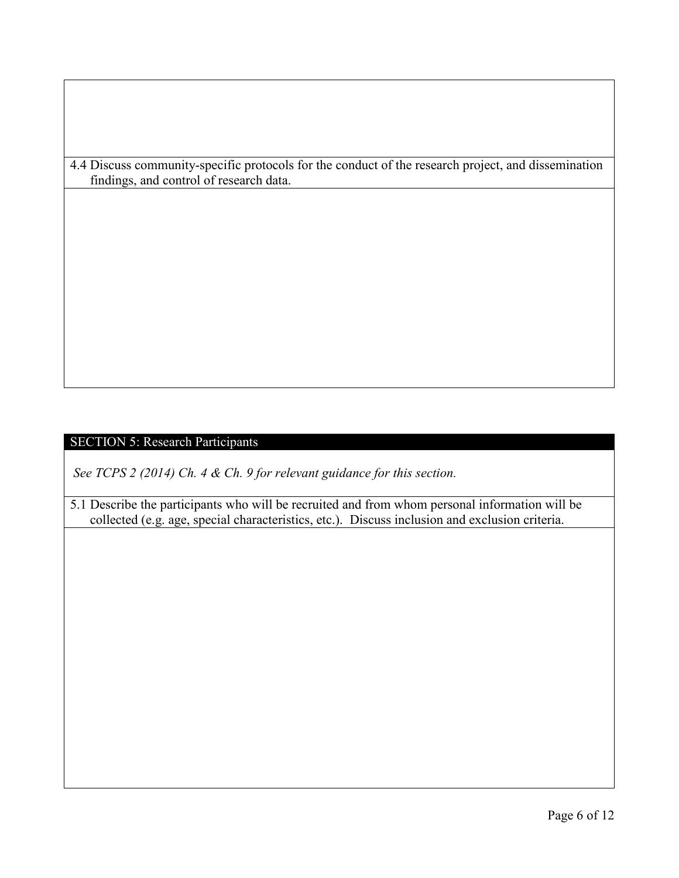4.4 Discuss community-specific protocols for the conduct of the research project, and dissemination findings, and control of research data.

# SECTION 5: Research Participants

*See TCPS 2 (2014) Ch. 4 & Ch. 9 for relevant guidance for this section.* 

5.1 Describe the participants who will be recruited and from whom personal information will be collected (e.g. age, special characteristics, etc.). Discuss inclusion and exclusion criteria.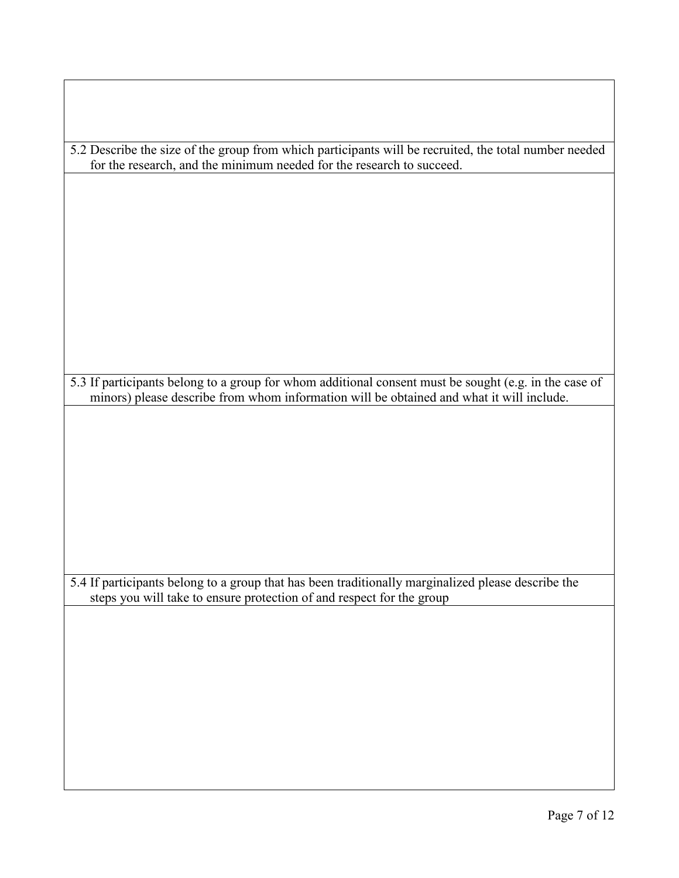| 5.2 Describe the size of the group from which participants will be recruited, the total number needed<br>for the research, and the minimum needed for the research to succeed. |
|--------------------------------------------------------------------------------------------------------------------------------------------------------------------------------|
|                                                                                                                                                                                |
|                                                                                                                                                                                |
|                                                                                                                                                                                |
|                                                                                                                                                                                |
|                                                                                                                                                                                |
| 5.3 If participants belong to a group for whom additional consent must be sought (e.g. in the case of                                                                          |
| minors) please describe from whom information will be obtained and what it will include.                                                                                       |
|                                                                                                                                                                                |
|                                                                                                                                                                                |
|                                                                                                                                                                                |
|                                                                                                                                                                                |
| 5.4 If participants belong to a group that has been traditionally marginalized please describe the<br>steps you will take to ensure protection of and respect for the group    |
|                                                                                                                                                                                |
|                                                                                                                                                                                |
|                                                                                                                                                                                |
|                                                                                                                                                                                |
|                                                                                                                                                                                |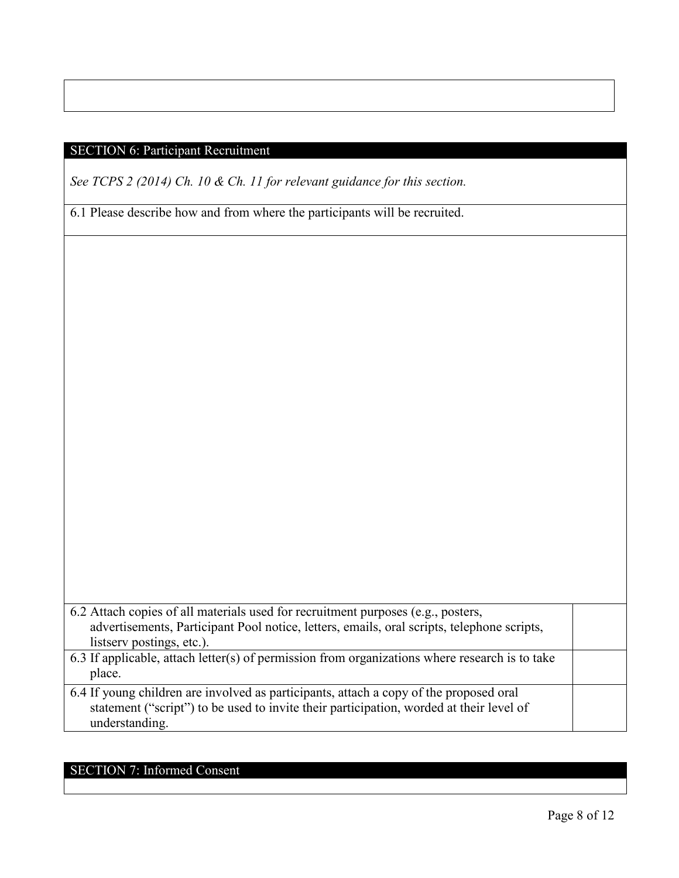# SECTION 6: Participant Recruitment

*See TCPS 2 (2014) Ch. 10 & Ch. 11 for relevant guidance for this section.*

6.1 Please describe how and from where the participants will be recruited.

| 6.2 Attach copies of all materials used for recruitment purposes (e.g., posters,<br>advertisements, Participant Pool notice, letters, emails, oral scripts, telephone scripts,<br>listserv postings, etc.). |  |
|-------------------------------------------------------------------------------------------------------------------------------------------------------------------------------------------------------------|--|
| 6.3 If applicable, attach letter(s) of permission from organizations where research is to take<br>place.                                                                                                    |  |
| 6.4 If young children are involved as participants, attach a copy of the proposed oral<br>statement ("script") to be used to invite their participation, worded at their level of<br>understanding.         |  |

SECTION 7: Informed Consent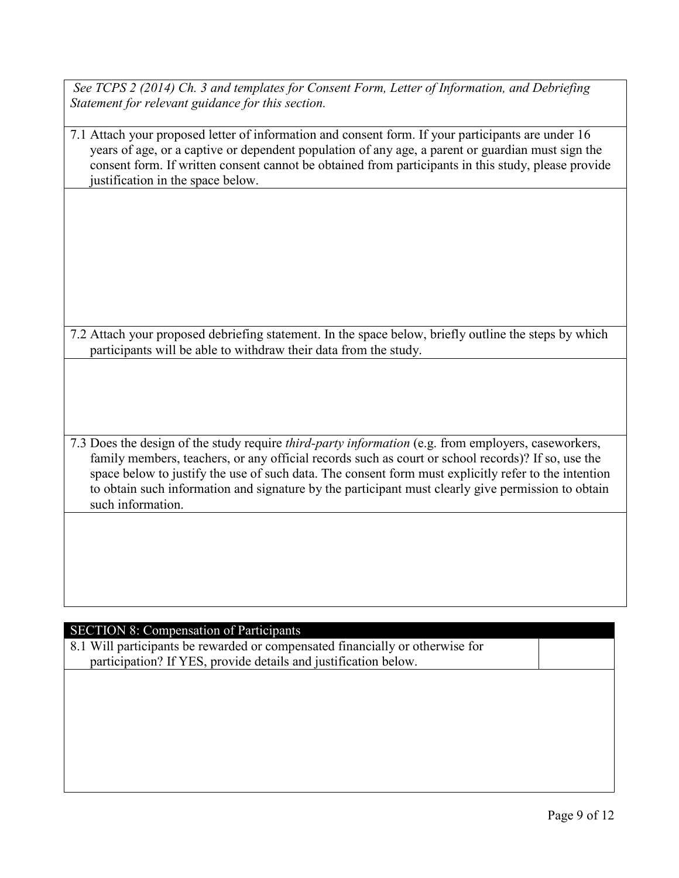*See TCPS 2 (2014) Ch. 3 and templates for Consent Form, Letter of Information, and Debriefing Statement for relevant guidance for this section.* 

7.1 Attach your proposed letter of information and consent form. If your participants are under 16 years of age, or a captive or dependent population of any age, a parent or guardian must sign the consent form. If written consent cannot be obtained from participants in this study, please provide justification in the space below.

7.2 Attach your proposed debriefing statement. In the space below, briefly outline the steps by which participants will be able to withdraw their data from the study.

7.3 Does the design of the study require *third-party information* (e.g. from employers, caseworkers, family members, teachers, or any official records such as court or school records)? If so, use the space below to justify the use of such data. The consent form must explicitly refer to the intention to obtain such information and signature by the participant must clearly give permission to obtain such information.

| <b>SECTION 8: Compensation of Participants</b>                                |  |
|-------------------------------------------------------------------------------|--|
| 8.1 Will participants be rewarded or compensated financially or otherwise for |  |
| participation? If YES, provide details and justification below.               |  |
|                                                                               |  |
|                                                                               |  |
|                                                                               |  |
|                                                                               |  |
|                                                                               |  |
|                                                                               |  |
|                                                                               |  |
|                                                                               |  |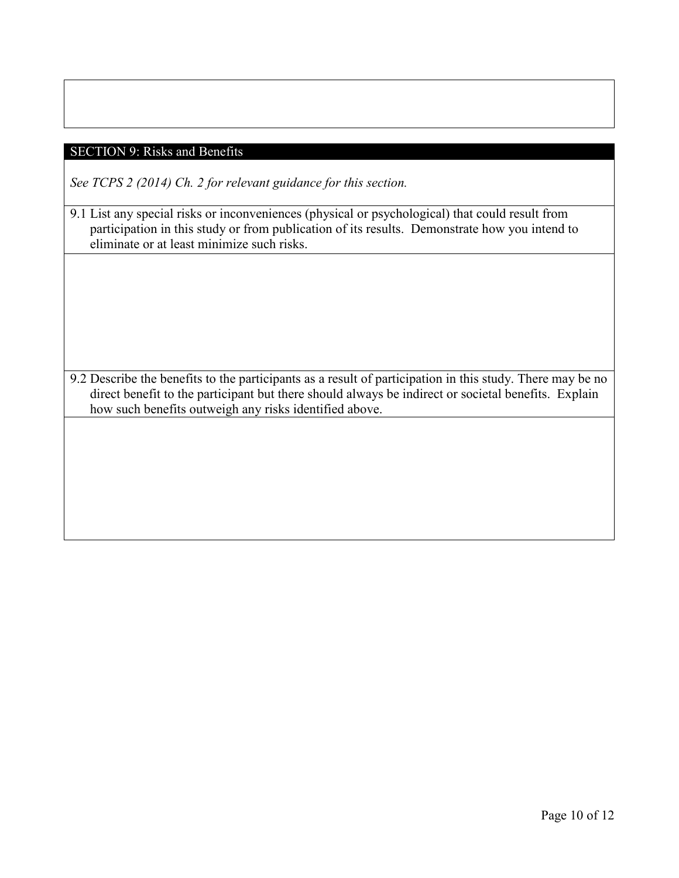## SECTION 9: Risks and Benefits

*See TCPS 2 (2014) Ch. 2 for relevant guidance for this section.* 

| 9.1 List any special risks or inconveniences (physical or psychological) that could result from |
|-------------------------------------------------------------------------------------------------|
| participation in this study or from publication of its results. Demonstrate how you intend to   |
| eliminate or at least minimize such risks.                                                      |

9.2 Describe the benefits to the participants as a result of participation in this study. There may be no direct benefit to the participant but there should always be indirect or societal benefits. Explain how such benefits outweigh any risks identified above.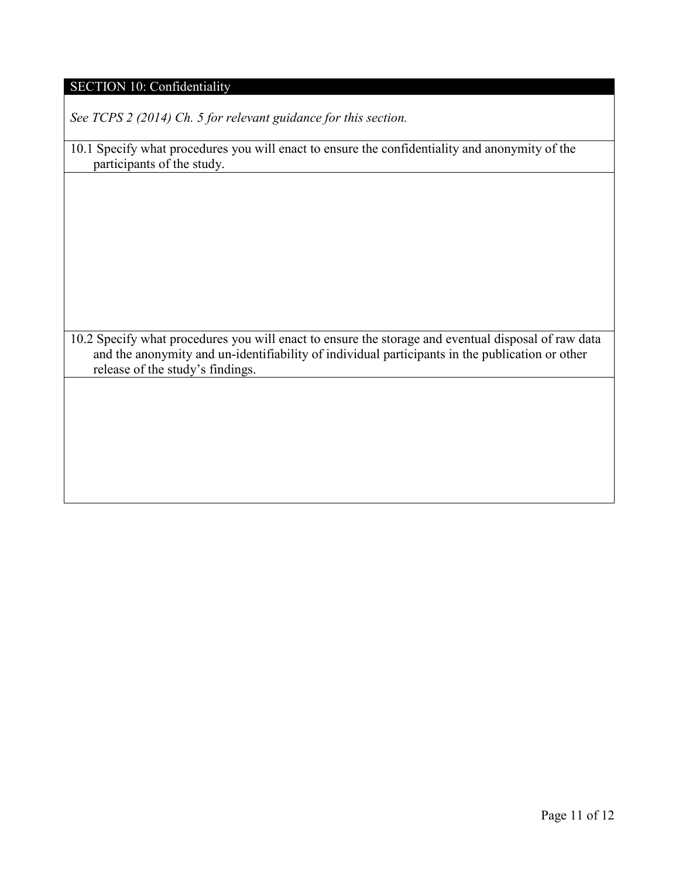# SECTION 10: Confidentiality

*See TCPS 2 (2014) Ch. 5 for relevant guidance for this section.* 

|                            | 10.1 Specify what procedures you will enact to ensure the confidentiality and anonymity of the |  |
|----------------------------|------------------------------------------------------------------------------------------------|--|
| participants of the study. |                                                                                                |  |

10.2 Specify what procedures you will enact to ensure the storage and eventual disposal of raw data and the anonymity and un-identifiability of individual participants in the publication or other release of the study's findings.